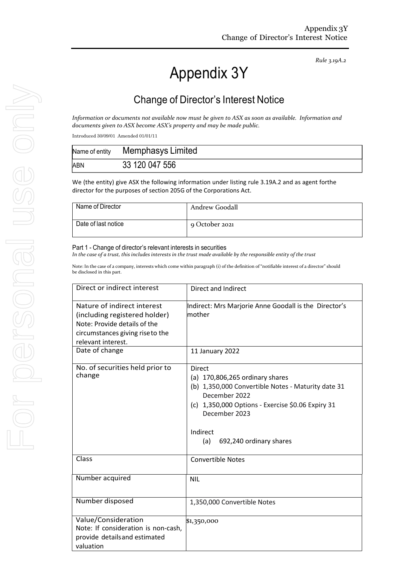*Rule 3.19A.2*

# Appendix 3Y

# Change of Director's Interest Notice

*Information or documents not available now must be given to ASX as soon as available. Information and documents given to ASX become ASX's property and may be made public.*

Introduced 30/09/01 Amended 01/01/11

| Name of entity | Memphasys Limited |
|----------------|-------------------|
| ABN            | 33 120 047 556    |

We (the entity) give ASX the following information under listing rule 3.19A.2 and as agent forthe director for the purposes of section 205G of the Corporations Act.

| Name of Director    | Andrew Goodall |
|---------------------|----------------|
| Date of last notice | 9 October 2021 |

#### Part 1 - Change of director's relevant interests in securities

In the case of a trust, this includes interests in the trust made available by the responsible entity of the trust

Note: In the case of a company, interests which come within paragraph (i) of the definition of "notifiable interest of a director" should be disclosed in this part.

| Direct or indirect interest                                                                                                                            | Direct and Indirect                                                                                                                                                                                                                           |  |
|--------------------------------------------------------------------------------------------------------------------------------------------------------|-----------------------------------------------------------------------------------------------------------------------------------------------------------------------------------------------------------------------------------------------|--|
| Nature of indirect interest<br>(including registered holder)<br>Note: Provide details of the<br>circumstances giving rise to the<br>relevant interest. | Indirect: Mrs Marjorie Anne Goodall is the Director's<br>mother                                                                                                                                                                               |  |
| Date of change                                                                                                                                         | 11 January 2022                                                                                                                                                                                                                               |  |
| No. of securities held prior to<br>change                                                                                                              | <b>Direct</b><br>(a) $170,806,265$ ordinary shares<br>(b) 1,350,000 Convertible Notes - Maturity date 31<br>December 2022<br>(c) 1,350,000 Options - Exercise \$0.06 Expiry 31<br>December 2023<br>Indirect<br>(a)<br>692,240 ordinary shares |  |
| Class                                                                                                                                                  | <b>Convertible Notes</b>                                                                                                                                                                                                                      |  |
| Number acquired                                                                                                                                        | <b>NIL</b>                                                                                                                                                                                                                                    |  |
| Number disposed                                                                                                                                        | 1,350,000 Convertible Notes                                                                                                                                                                                                                   |  |
| Value/Consideration<br>Note: If consideration is non-cash,<br>provide details and estimated<br>valuation                                               | \$1,350,000                                                                                                                                                                                                                                   |  |